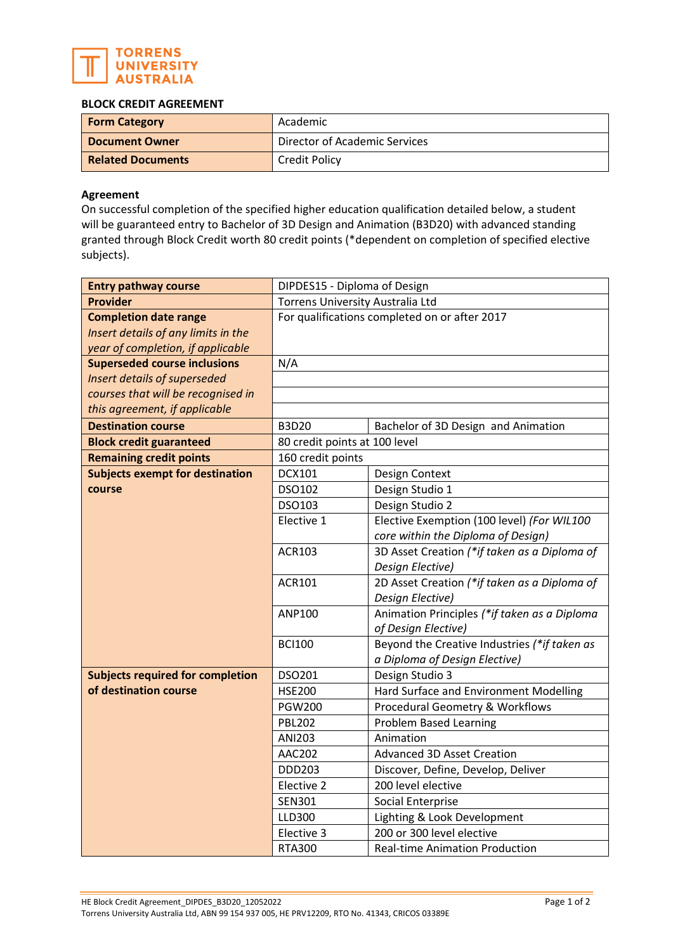

## **BLOCK CREDIT AGREEMENT**

| <b>Form Category</b>     | Academic                      |
|--------------------------|-------------------------------|
| <b>Document Owner</b>    | Director of Academic Services |
| <b>Related Documents</b> | <b>Credit Policy</b>          |

## **Agreement**

On successful completion of the specified higher education qualification detailed below, a student will be guaranteed entry to Bachelor of 3D Design and Animation (B3D20) with advanced standing granted through Block Credit worth 80 credit points (\*dependent on completion of specified elective subjects).

| <b>Entry pathway course</b>             | DIPDES15 - Diploma of Design                  |                                              |  |
|-----------------------------------------|-----------------------------------------------|----------------------------------------------|--|
| <b>Provider</b>                         | Torrens University Australia Ltd              |                                              |  |
| <b>Completion date range</b>            | For qualifications completed on or after 2017 |                                              |  |
| Insert details of any limits in the     |                                               |                                              |  |
| year of completion, if applicable       |                                               |                                              |  |
| <b>Superseded course inclusions</b>     | N/A                                           |                                              |  |
| Insert details of superseded            |                                               |                                              |  |
| courses that will be recognised in      |                                               |                                              |  |
| this agreement, if applicable           |                                               |                                              |  |
| <b>Destination course</b>               | <b>B3D20</b>                                  | Bachelor of 3D Design and Animation          |  |
| <b>Block credit guaranteed</b>          | 80 credit points at 100 level                 |                                              |  |
| <b>Remaining credit points</b>          | 160 credit points                             |                                              |  |
| <b>Subjects exempt for destination</b>  | <b>DCX101</b>                                 | Design Context                               |  |
| course                                  | DSO102                                        | Design Studio 1                              |  |
|                                         | DSO103                                        | Design Studio 2                              |  |
|                                         | Elective 1                                    | Elective Exemption (100 level) (For WIL100   |  |
|                                         |                                               | core within the Diploma of Design)           |  |
|                                         | <b>ACR103</b>                                 | 3D Asset Creation (*if taken as a Diploma of |  |
|                                         |                                               | Design Elective)                             |  |
|                                         | ACR101                                        | 2D Asset Creation (*if taken as a Diploma of |  |
|                                         |                                               | Design Elective)                             |  |
|                                         | ANP100                                        | Animation Principles (*if taken as a Diploma |  |
|                                         |                                               | of Design Elective)                          |  |
|                                         | <b>BCI100</b>                                 | Beyond the Creative Industries (*if taken as |  |
|                                         |                                               | a Diploma of Design Elective)                |  |
| <b>Subjects required for completion</b> | DSO201                                        | Design Studio 3                              |  |
| of destination course                   | <b>HSE200</b>                                 | Hard Surface and Environment Modelling       |  |
|                                         | <b>PGW200</b>                                 | Procedural Geometry & Workflows              |  |
|                                         | <b>PBL202</b>                                 | <b>Problem Based Learning</b>                |  |
|                                         | ANI203                                        | Animation                                    |  |
|                                         | <b>AAC202</b>                                 | <b>Advanced 3D Asset Creation</b>            |  |
|                                         | <b>DDD203</b>                                 | Discover, Define, Develop, Deliver           |  |
|                                         | Elective 2                                    | 200 level elective                           |  |
|                                         | <b>SEN301</b>                                 | Social Enterprise                            |  |
|                                         | LLD300                                        | Lighting & Look Development                  |  |
|                                         | Elective 3                                    | 200 or 300 level elective                    |  |
|                                         | <b>RTA300</b>                                 | <b>Real-time Animation Production</b>        |  |